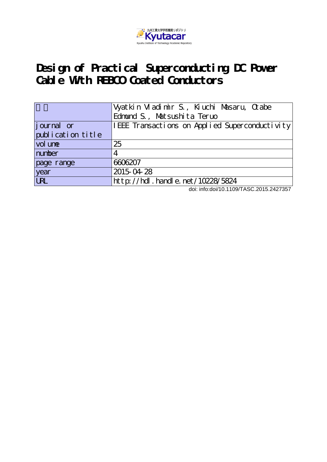

## **Design of Practical Superconducting DC Power Cable With REBCO Coated Conductors**

|                   | Vyatkin Vladimir S., Kiuchi Masaru, Crabe      |  |  |  |
|-------------------|------------------------------------------------|--|--|--|
|                   | Edmund S., Matsushita Teruo                    |  |  |  |
| journal or        | IEEE Transactions on Applied Superconductivity |  |  |  |
| publication title |                                                |  |  |  |
| vol une           | 25                                             |  |  |  |
| number            | 4                                              |  |  |  |
| page range        | 6606207                                        |  |  |  |
| year              | 2015-04-28                                     |  |  |  |
| <b>LRL</b>        | http://hdl.handle.net/10228/5824               |  |  |  |

doi: info:doi/10.1109/TASC.2015.2427357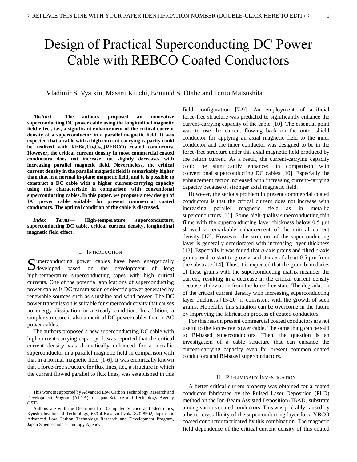# Design of Practical Superconducting DC Power Cable with REBCO Coated Conductors

### Vladimir S. Vyatkin, Masaru Kiuchi, Edmund S. Otabe and Teruo Matsushita

*Abstract***— The authors proposed an innovative superconducting DC power cable using the longitudinal magnetic field effect, i.e., a significant enhancement of the critical current density of a superconductor in a parallel magnetic field. It was expected that a cable with a high current-carrying capacity could be realized with REBa2Cu3O7-δ (REBCO) coated conductors. However, the critical current density in most commercial coated conductors does not increase but slightly decreases with increasing parallel magnetic field. Nevertheless, the critical current density in the parallel magnetic field is remarkably higher than that in a normal in-plane magnetic field, and it is possible to construct a DC cable with a higher current-carrying capacity using this characteristic in comparison with conventional superconducting cables. In this paper, we propose a new design of DC power cable suitable for present commercial coated conductors. The optimal condition of the cable is discussed.**

*Index Terms***— High-temperature superconductors, superconducting DC cable, critical current density, longitudinal magnetic field effect.** 

#### I. INTRODUCTION

uperconducting power cables have been energetically Superconducting power cables have been energetically developed based on the development of long high-temperature superconducting tapes with high critical currents. One of the potential applications of superconducting power cables is DC transmission of electric power generated by renewable sources such as sunshine and wind power. The DC power transmission is suitable for superconductivity that causes no energy dissipation in a steady condition. In addition, a simpler structure is also a merit of DC power cables than in AC power cables.

The authors proposed a new superconducting DC cable with high current-carrying capacity. It was reported that the critical current density was dramatically enhanced for a metallic superconductor in a parallel magnetic field in comparison with that in a normal magnetic field [1-6]. It was empirically known that a force-free structure for flux lines, i.e., a structure in which the current flowed parallel to flux lines, was established in this

field configuration [7-9]. An employment of artificial force-free structure was predicted to significantly enhance the current-carrying capacity of the cable [10]. The essential point was to use the current flowing back on the outer shield conductor for applying an axial magnetic field to the inner conductor and the inner conductor was designed to be in the force-free structure under this axial magnetic field produced by the return current. As a result, the current-carrying capacity could be significantly enhanced in comparison with conventional superconducting DC cables [10]. Especially the enhancement factor increased with increasing current-carrying capacity because of stronger axial magnetic field.

However, the serious problem in present commercial coated conductors is that the critical current does not increase with increasing parallel magnetic field as in metallic superconductors [11]. Some high-quality superconducting thin films with the superconducting layer thickness below 0.5 μm showed a remarkable enhancement of the critical current density [12]. However, the structure of the superconducting layer is generally deteriorated with increasing layer thickness [13]. Especially it was found that *a*-axis grains and tilted *c*-axis grains tend to start to grow at a distance of about 0.5 μm from the substrate [14]. Thus, it is expected that the grain boundaries of these grains with the superconducting matrix meander the current, resulting in a decrease in the critical current density because of deviation from the force-free state. The degradation of the critical current density with increasing superconducting layer thickness [15-20] is consistent with the growth of such grains. Hopefully this situation can be overcome in the future by improving the fabrication process of coated conductors.

For this reason present commercial coated conductors are not useful to the force-free power cable. The same thing can be said to Bi-based superconductors. Then, the question is an investigation of a cable structure that can enhance the current-carrying capacity even for present common coated conductors and Bi-based superconductors.

#### II. PRELIMINARY INVESTIGATION

A better critical current property was obtained for a coated conductor fabricated by the Pulsed Laser Deposition (PLD) method on the Ion-Beam Assisted Deposition (IBAD) substrate among various coated conductors. This was probably caused by a better crystallinity of the superconducting layer for a YBCO coated conductor fabricated by this combination. The magnetic field dependence of the critical current density of this coated

This work is supported by Advanced Low Carbon Technology Research and Development Program (ALCA) of Japan Science and Technology Agency (JST).

Authors are with the Department of Computer Science and Electronics, Kyushu Institute of Technology, 680-4 Kawazu Iizuka 820-8502, Japan and Advanced Low Carbon Technology Research and Development Program, Japan Science and Technology Agency.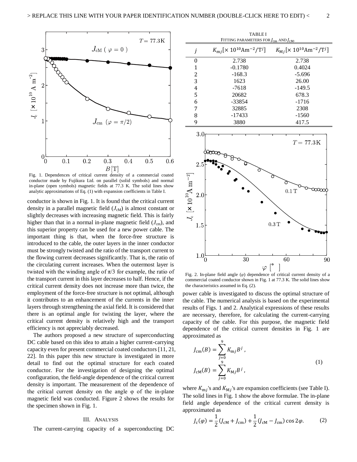

Fig. 1. Dependences of critical current density of a commercial coated conductor made by Fujikura Ltd. on parallel (solid symbols) and normal in-plane (open symbols) magnetic fields at 77.3 K. The solid lines show analytic approximations of Eq. (1) with expansion coefficients in Table I.

conductor is shown in Fig. 1. It is found that the critical current density in a parallel magnetic field  $(J<sub>cm</sub>)$  is almost constant or slightly decreases with increasing magnetic field. This is fairly higher than that in a normal in-plane magnetic field  $(J<sub>cm</sub>)$ , and this superior property can be used for a new power cable. The important thing is that, when the force-free structure is introduced to the cable, the outer layers in the inner conductor must be strongly twisted and the ratio of the transport current to the flowing current decreases significantly. That is, the ratio of the circulating current increases. When the outermost layer is twisted with the winding angle of  $\pi/3$  for example, the ratio of the transport current in this layer decreases to half. Hence, if the critical current density does not increase more than twice, the employment of the force-free structure is not optimal, although it contributes to an enhancement of the currents in the inner layers through strengthening the axial field. It is considered that there is an optimal angle for twisting the layer, where the critical current density is relatively high and the transport efficiency is not appreciably decreased.

The authors proposed a new structure of superconducting DC cable based on this idea to attain a higher current-carrying capacity even for present commercial coated conductors [11, 21, 22]. In this paper this new structure is investigated in more detail to find out the optimal structure for each coated conductor. For the investigation of designing the optimal configuration, the field-angle dependence of the critical current density is important. The measurement of the dependence of the critical current density on the angle  $\varphi$  of the in-plane magnetic field was conducted. Figure 2 shows the results for the specimen shown in Fig. 1.

#### III. ANALYSIS

The current-carrying capacity of a superconducting DC

| <b>TABLE I</b><br>FITTING PARAMETERS FOR $J_{cm}$ AND $J_{CM}$ . |                                                                      |                                                           |  |  |
|------------------------------------------------------------------|----------------------------------------------------------------------|-----------------------------------------------------------|--|--|
|                                                                  | $K_{\rm m i}$ [× 10 <sup>10</sup> Am <sup>-2</sup> /T <sup>j</sup> ] | $K_{\text{M}i}[\times 10^{10} \text{Am}^{-2}/\text{T}^i]$ |  |  |
| 0                                                                | 2.738                                                                | 2.738                                                     |  |  |
| 1                                                                | $-0.1780$                                                            | 0.4024                                                    |  |  |
| 2                                                                | $-168.3$                                                             | $-5.696$                                                  |  |  |
| 3                                                                | 1623                                                                 | 26.00                                                     |  |  |
| 4                                                                | $-7618$                                                              | $-149.5$                                                  |  |  |
| 5                                                                | 20682                                                                | 678.3                                                     |  |  |
| 6                                                                | -33854                                                               | $-1716$                                                   |  |  |
| 7                                                                | 32885                                                                | 2308                                                      |  |  |
| 8                                                                | -17433                                                               | $-1560$                                                   |  |  |
| 9                                                                | 3880                                                                 | 417.5                                                     |  |  |
| $\sim$ $\sim$                                                    |                                                                      |                                                           |  |  |



Fig. 2. In-plane field angle (*φ*) dependence of critical current density of a commercial coated conductor shown in Fig. 1 at 77.3 K. The solid lines show the characteristics assumed in Eq. (2).

power cable is investigated to discuss the optimal structure of the cable. The numerical analysis is based on the experimental results of Figs. 1 and 2. Analytical expressions of these results are necessary, therefore, for calculating the current-carrying capacity of the cable. For this purpose, the magnetic field dependence of the critical current densities in Fig. 1 are approximated as

$$
J_{\rm cm}(B) = \sum_{j=0}^{9} K_{\rm m} j B^{j},
$$
  

$$
J_{\rm cm}(B) = \sum_{j=0}^{9} K_{\rm M} j B^{j},
$$
 (1)

where  $K_{mj}$ 's and  $K_{mj}$ 's are expansion coefficients (see Table I). The solid lines in Fig. 1 show the above formulae. The in-plane field angle dependence of the critical current density is approximated as

$$
J_{\rm c}(\varphi) = \frac{1}{2} (J_{\rm cM} + J_{\rm cm}) + \frac{1}{2} (J_{\rm cM} - J_{\rm cm}) \cos 2\varphi.
$$
 (2)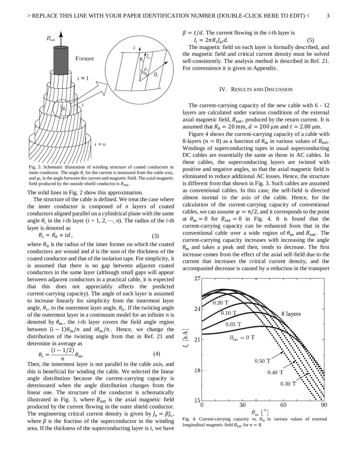

Fig. 3. Schematic illustration of winding structure of coated conductors in inner conductor. The angle  $\theta_i$  for the current is measured from the cable axis, and  $\varphi_i$  is the angle between the current and magnetic field. The axial magnetic field produced by the outside shield conductor is  $B_{\text{ext}}$ .

The solid lines in Fig. 2 show this approximation.

The structure of the cable is defined. We treat the case where the inner conductor is composed of *n* layers of coated conductors aligned parallel on a cylindrical plane with the same angle  $\theta_i$  in the *i*-th layer (*i* = 1, 2, …, *n*). The radius of the *i*-th layer is denoted as

$$
R_i = R_0 + id \tag{3}
$$

where  $R_0$  is the radius of the inner former on which the coated conductors are wound and *d* is the sum of the thickness of the coated conductor and that of the isolation tape. For simplicity, it is assumed that there is no gap between adjacent coated conductors in the same layer (although small gaps will appear between adjacent conductors in a practical cable, it is expected that this does not appreciably affects the predicted current-carrying capacity). The angle of each layer is assumed to increase linearly for simplicity from the innermost layer angle,  $\theta_1$ , to the outermost layer angle,  $\theta_n$ . If the twisting angle of the outermost layer in a continuum model for an infinite *n* is denoted by  $\theta_m$ , the *i*-th layer covers the field angle region between  $(i - 1)\theta_m/n$  and  $i\theta_m/n$ . Hence, we change the distribution of the twisting angle from that in Ref. 21 and determine in average as

$$
\theta_i = \frac{(i - 1/2)}{n} \theta_m.
$$
\n(4)

Then, the innermost layer is not parallel to the cable axis, and this is beneficial for winding the cable. We selected the linear angle distribution because the current-carrying capacity is deteriorated when the angle distribution changes from the linear one. The structure of the conductor is schematically illustrated in Fig. 3, where  $B_{ext}$  is the axial magnetic field produced by the current flowing in the outer shield conductor. The engineering critical current density is given by  $J_e = \beta J_c$ , where  $\beta$  is the fraction of the superconductor in the winding area. If the thickness of the superconducting layer is *t*, we have

$$
\beta = t/d
$$
. The current flowing in the *i*-th layer is

$$
I_i = 2\pi R_i J_{ei} d. \tag{5}
$$

The magnetic field on each layer is formally described, and the magnetic field and critical current density must be solved self-consistently. The analysis method is described in Ref. 21. For convenience it is given in Appendix.

#### IV. RESULTS AND DISCUSSION

The current-carrying capacity of the new cable with 6 - 12 layers are calculated under various conditions of the external axial magnetic field,  $B_{\text{ext}}$ , produced by the return current. It is assumed that  $R_0 = 20$  mm,  $d = 200$  μm and  $t = 2.00$  μm.

Figure 4 shows the current-carrying capacity of a cable with 8-layers ( $n = 8$ ) as a function of  $\theta_m$  in various values of  $B_{ext}$ . Windings of superconducting tapes in usual superconducting DC cables are essentially the same as those in AC cables. In these cables, the superconducting layers are twisted with positive and negative angles, so that the axial magnetic field is eliminated to reduce additional AC losses. Hence, the structure is different from that shown in Fig. 3. Such cables are assumed as conventional cables. In this case, the self-field is directed almost normal to the axis of the cable. Hence, for the calculation of the current-carrying capacity of conventional cables, we can assume  $\varphi = \pi/2$ , and it corresponds to the point at  $\theta_{\rm m} = 0$  for  $B_{\rm ext} = 0$  in Fig. 4. It is found that the current-carrying capacity can be enhanced from that in the conventional cable over a wide region of  $\theta_{\rm m}$  and  $B_{\rm ext}$ . The current-carrying capacity increases with increasing the angle  $\theta_m$  and takes a peak and then, tends to decrease. The first increase comes from the effect of the axial self-field due to the current that increases the critical current density, and the accompanied decrease is caused by a reduction in the transport



Fig. 4. Current-carrying capacity vs.  $\theta_m$  in various values of external longitudinal magnetic field  $B_{\text{ext}}$  for  $n = 8$ .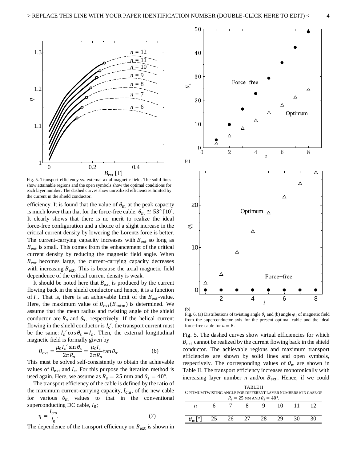

Fig. 5. Transport efficiency vs. external axial magnetic field. The solid lines show attainable regions and the open symbols show the optimal conditions for each layer number. The dashed curves show unrealized efficiencies limited by the current in the shield conductor.

efficiency. It is found that the value of  $\theta_{\rm m}$  at the peak capacity is much lower than that for the force-free cable,  $\theta_m \approx 53^\circ$  [10]. It clearly shows that there is no merit to realize the ideal force-free configuration and a choice of a slight increase in the critical current density by lowering the Lorentz force is better. The current-carrying capacity increases with  $B_{\text{ext}}$  so long as  $B_{\text{ext}}$  is small. This comes from the enhancement of the critical current density by reducing the magnetic field angle. When  $B_{\text{ext}}$  becomes large, the current-carrying capacity decreases with increasing  $B_{ext}$ . This is because the axial magnetic field dependence of the critical current density is weak.

It should be noted here that  $B_{ext}$  is produced by the current flowing back in the shield conductor and hence, it is a function of  $I_c$ . That is, there is an achievable limit of the  $B_{ext}$ -value. Here, the maximum value of  $B_{\text{ext}}(B_{\text{extm}})$  is determined. We assume that the mean radius and twisting angle of the shield conductor are  $R_s$  and  $\theta_s$ , respectively. If the helical current flowing in the shield conductor is  $I_c'$ , the transport current must be the same:  $I_c' \cos \theta_s = I_c$ . Then, the external longitudinal magnetic field is formally given by

$$
B_{\text{ext}} = \frac{\mu_0 I_c' \sin \theta_s}{2\pi R_s} = \frac{\mu_0 I_c}{2\pi R_s} \tan \theta_s. \tag{6}
$$

This must be solved self-consistently to obtain the achievable values of  $B_{ext}$  and  $I_c$ . For this purpose the iteration method is used again. Here, we assume as  $R_s = 25$  mm and  $\theta_s = 40^\circ$ .

The transport efficiency of the cable is defined by the ratio of the maximum current-carrying capacity,  $I_{cm}$ , of the new cable for various  $\theta_{\rm m}$  values to that in the conventional superconducting DC cable,  $I_0$ ;

$$
\eta = \frac{I_{\rm cm}}{I_0}.\tag{7}
$$

The dependence of the transport efficiency on  $B_{ext}$  is shown in



Fig. 6. (a) Distributions of twisting angle  $\theta_i$  and (b) angle  $\varphi_i$  of magnetic field from the superconductor axis for the present optimal cable and the ideal force-free cable for  $n = 8$ .

Fig. 5. The dashed curves show virtual efficiencies for which  $B_{\text{ext}}$  cannot be realized by the current flowing back in the shield conductor. The achievable regions and maximum transport efficiencies are shown by solid lines and open symbols, respectively. The corresponding values of  $\theta_{\rm m}$  are shown in Table II. The transport efficiency increases monotonically with increasing layer number *n* and/or  $B_{ext}$ . Hence, if we could

TABLE II OPTIMUM TWISTING ANGLE FOR DIFFERENT LAYER NUMBERS *N* IN CASE OF

| $R_s = 25$ MM AND $\theta_s = 40^\circ$ . |  |    |  |  |    |  |
|-------------------------------------------|--|----|--|--|----|--|
|                                           |  |    |  |  | 10 |  |
|                                           |  |    |  |  |    |  |
| $\lceil 0 \rceil$                         |  | 26 |  |  | 29 |  |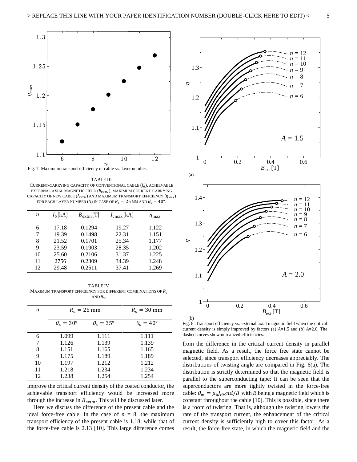

TABLE III CURRENT-CARRYING CAPACITY OF CONVENTIONAL CABLE  $(I_0)$ , ACHIEVABLE EXTERNAL AXIAL MAGNETIC FIELD  $(B_{\text{EXTM}})$ , MAXIMUM CURRENT-CARRYING CAPACITY OF NEW CABLE  $(I_{\text{EXT}})$  AND MAXIMUM TRANSPORT EFFICIENCY  $(\eta_{\text{MAX}})$ FOR EACH LAYER NUMBER (*N*) IN CASE OF  $R_s = 25$  MM AND  $\theta_s = 40^\circ$ .

| n  | $I_0[kA]$ | $B_{\text{extm}}[T]$ | $I_{\text{cmax}}$ [kA] | $\eta_{\rm max}$ |
|----|-----------|----------------------|------------------------|------------------|
| 6  | 17.18     | 0.1294               | 19.27                  | 1.122            |
|    | 19.39     | 0.1498               | 22.31                  | 1.151            |
| 8  | 21.52     | 0.1701               | 25.34                  | 1.177            |
| 9  | 23.59     | 0.1903               | 28.35                  | 1.202            |
| 10 | 25.60     | 0.2106               | 31.37                  | 1.225            |
| 11 | 2756      | 0.2309               | 34.39                  | 1.248            |
| 12 | 29.48     | 0.2511               | 37.41                  | 1.269            |

TABLE IV MAXIMUM TRANSPORT EFFICIENCY FOR DIFFERENT COMBINATIONS OF  $R_s$ AND  $\theta_{\rm s}$ .

| n  | $R_s = 25$ mm               |                               | $R_s = 30$ mm               |
|----|-----------------------------|-------------------------------|-----------------------------|
|    | $\theta_{\rm s}=30^{\circ}$ | $\theta_{\rm s} = 35^{\circ}$ | $\theta_{\rm s}=40^{\circ}$ |
| 6  | 1.099                       | 1.111                         | 1.111                       |
| 7  | 1.126                       | 1.139                         | 1.139                       |
| 8  | 1.151                       | 1.165                         | 1.165                       |
| 9  | 1.175                       | 1.189                         | 1.189                       |
| 10 | 1.197                       | 1.212                         | 1.212                       |
| 11 | 1.218                       | 1.234                         | 1.234                       |
| 12 | 1.238                       | 1.254                         | 1.254                       |

improve the critical current density of the coated conductor, the achievable transport efficiency would be increased more through the increase in  $B_{\text{extm}}$ . This will be discussed later.

Here we discuss the difference of the present cable and the ideal force-free cable. In the case of  $n = 8$ , the maximum transport efficiency of the present cable is 1.18, while that of the force-free cable is 2.13 [10]. This large difference comes



Fig. 8. Transport efficiency vs. external axial magnetic field when the critical current density is simply improved by factors (a) *A*=1.5 and (b) *A*=2.0. The dashed curves show unrealized efficiencies.

from the difference in the critical current density in parallel magnetic field. As a result, the force free state cannot be selected, since transport efficiency decreases appreciably. The distributions of twisting angle are compared in Fig. 6(a). The distribution is strictly determined so that the magnetic field is parallel to the superconducting tape: It can be seen that the superconductors are more tightly twisted in the force-free cable:  $\theta_{\rm m} = \mu_0 I_{\rm cm} n d/B$  with *B* being a magnetic field which is constant throughout the cable [10]. This is possible, since there is a room of twisting. That is, although the twisting lowers the rate of the transport current, the enhancement of the critical current density is sufficiently high to cover this factor. As a result, the force-free state, in which the magnetic field and the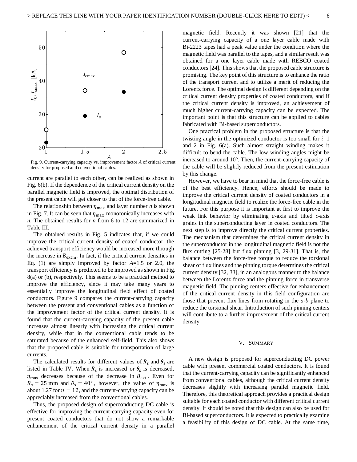

Fig. 9. Current-carrying capacity vs. improvement factor *A* of critical current density for proposed and conventional cables.

current are parallel to each other, can be realized as shown in Fig. 6(b). If the dependence of the critical current density on the parallel magnetic field is improved, the optimal distribution of the present cable will get closer to that of the force-free cable.

The relationship between  $\eta_{\text{max}}$  and layer number *n* is shown in Fig. 7. It can be seen that  $\eta_{\text{max}}$  monotonically increases with *n*. The obtained results for *n* from 6 to 12 are summarized in Table III.

The obtained results in Fig. 5 indicates that, if we could improve the critical current density of coated conductor, the achieved transport efficiency would be increased more through the increase in  $B_{\text{extm}}$ . In fact, if the critical current densities in Eq. (1) are simply improved by factor *A*=1.5 or 2.0, the transport efficiency is predicted to be improved as shown in Fig. 8(a) or (b), respectively. This seems to be a practical method to improve the efficiency, since it may take many years to essentially improve the longitudinal field effect of coated conductors. Figure 9 compares the current-carrying capacity between the present and conventional cables as a function of the improvement factor of the critical current density. It is found that the current-carrying capacity of the present cable increases almost linearly with increasing the critical current density, while that in the conventional cable tends to be saturated because of the enhanced self-field. This also shows that the proposed cable is suitable for transportation of large currents.

The calculated results for different values of  $R_s$  and  $\theta_s$  are listed in Table IV. When  $R_s$  is increased or  $\theta_s$  is decreased,  $\eta_{\text{max}}$  decreases because of the decrease in  $B_{\text{ext}}$ . Even for  $R_s = 25$  mm and  $\theta_s = 40^\circ$ , however, the value of  $\eta_{\text{max}}$  is about 1.27 for  $n = 12$ , and the current-carrying capacity can be appreciably increased from the conventional cables.

Thus, the proposed design of superconducting DC cable is effective for improving the current-carrying capacity even for present coated conductors that do not show a remarkable enhancement of the critical current density in a parallel magnetic field. Recently it was shown [21] that the current-carrying capacity of a one layer cable made with Bi-2223 tapes had a peak value under the condition where the magnetic field was parallel to the tapes, and a similar result was obtained for a one layer cable made with REBCO coated conductors [24]. This shows that the proposed cable structure is promising. The key point of this structure is to enhance the ratio of the transport current and to utilize a merit of reducing the Lorentz force. The optimal design is different depending on the critical current density properties of coated conductors, and if the critical current density is improved, an achievement of much higher current-carrying capacity can be expected. The important point is that this structure can be applied to cables fabricated with Bi-based superconductors.

One practical problem in the proposed structure is that the twisting angle in the optimized conductor is too small for  $i=1$ and 2 in Fig. 6(a). Such almost straight winding makes it difficult to bend the cable. The low winding angles might be increased to around 10°. Then, the current-carrying capacity of the cable will be slightly reduced from the present estimation by this change.

However, we have to bear in mind that the force-free cable is of the best efficiency. Hence, efforts should be made to improve the critical current density of coated conductors in a longitudinal magnetic field to realize the force-free cable in the future. For this purpose it is important at first to improve the weak link behavior by eliminating *a*-axis and tilted *c*-axis grains in the superconducting layer in coated conductors. The next step is to improve directly the critical current properties. The mechanism that determines the critical current density in the superconductor in the longitudinal magnetic field is not the flux cutting [25-28] but flux pinning [3, 29-31]. That is, the balance between the force-free torque to reduce the torsional shear of flux lines and the pinning torque determines the critical current density [32, 33], in an analogous manner to the balance between the Lorentz force and the pinning force in transverse magnetic field. The pinning centers effective for enhancement of the critical current density in this field configuration are those that prevent flux lines from rotating in the *a*-*b* plane to reduce the torsional shear. Introduction of such pinning centers will contribute to a further improvement of the critical current density.

#### V. SUMMARY

A new design is proposed for superconducting DC power cable with present commercial coated conductors. It is found that the current-carrying capacity can be significantly enhanced from conventional cables, although the critical current density decreases slightly with increasing parallel magnetic field. Therefore, this theoretical approach provides a practical design suitable for each coated conductor with different critical current density. It should be noted that this design can also be used for Bi-based superconductors. It is expected to practically examine a feasibility of this design of DC cable. At the same time,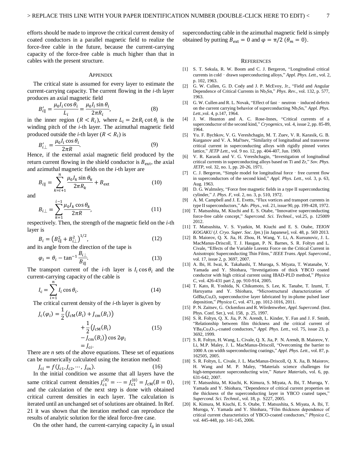efforts should be made to improve the critical current density of coated conductors in a parallel magnetic field to realize the force-free cable in the future, because the current-carrying capacity of the force-free cable is much higher than that in cables with the present structure.

#### **APPENDIX**

The critical state is assumed for every layer to estimate the current-carrying capacity. The current flowing in the *i*-th layer produces an axial magnetic field

$$
B'_{i\parallel} = \frac{\mu_0 I_i \cos \theta_i}{L_i} = \frac{\mu_0 I_i \sin \theta_i}{2\pi R_i},
$$
\n(8)

in the inner region  $(R < R_i)$ , where  $L_i = 2\pi R_i \cot \theta_i$  is the winding pitch of the *i*-th layer. The azimuthal magnetic field produced outside the *i*-th layer  $(R < R_i)$  is

$$
B'_{i\perp} = \frac{\mu_0 I_i \cos \theta_i}{2\pi R}.
$$
\n(9)

Hence, if the external axial magnetic field produced by the return current flowing in the shield conductor is  $B_{\text{ext}}$ , the axial and azimuthal magnetic fields on the *i*-th layer are

$$
B_{i\parallel} = \sum_{k=i+1}^{n} \frac{\mu_0 I_k \sin \theta_k}{2\pi R_k} + B_{\text{ext}}
$$
 (10)

and

$$
B_{i\perp} = \sum_{k=1}^{i-1} \frac{\mu_0 I_k \cos \theta_k}{2\pi R},
$$
 (11)

respectively. Then, the strength of the magnetic field on the *i*-th layer is

$$
B_i = \left(B_{i\parallel}^2 + B_{i\perp}^2\right)^{1/2},\tag{12}
$$

and its angle from the direction of the tape is

$$
\varphi_i = \theta_i - \tan^{-1} \frac{B_{i\perp}}{B_{i\parallel}}.
$$
\n(13)

The transport current of the *i*-th layer is  $I_i \cos \theta_i$  and the current-carrying capacity of the cable is

$$
I_{\rm c} = \sum_{i=1}^{n} I_i \cos \theta_i.
$$
 (14)

The critical current density of the *i*-th layer is given by

$$
J_{c}(\varphi_{i}) = \frac{1}{2} \left( J_{cM}(B_{i}) + J_{cm}(B_{i}) \right)
$$
  
+ 
$$
\frac{1}{2} \left( J_{cM}(B_{i}) - J_{cm}(B_{i}) \right)
$$
 (15)  
- 
$$
J_{cm}(B_{i}) \cos 2\varphi_{i}
$$
  
= 
$$
J_{ci}.
$$

There are *n* sets of the above equations. These set of equations can be numerically calculated using the iteration method:

$$
J_{ci} = f(J_{c1}, J_{c2}, \cdots, J_{cn}).
$$
 (16)

In the initial condition we assume that all layers have the same critical current densities  $J_{c1}^{(0)} = \dots = J_{c1}^{(0)} = J_{cM}(B = 0)$ , and the calculation of the next step is done with obtained critical current densities in each layer. The calculation is iterated until an unchanged set of solutions are obtained. In Ref. 21 it was shown that the iteration method can reproduce the results of analytic solution for the ideal force-free case.

On the other hand, the current-carrying capacity  $I_0$  in usual

superconducting cable in the azimuthal magnetic field is simply obtained by putting  $B_{ext} = 0$  and  $\varphi = \pi/2$  ( $\theta_m = 0$ ).

#### **REFERENCES**

- [1] S. T. Sekula, R. W. Boom and C. J. Bergeron, "Longitudinal critical currents in cold - drawn superconducting alloys," *Appl. Phys. Lett.*, vol. 2, p. 102, 1963.
- [2] G. W. Cullen, G. D. Cody and J. P. McEvoy, Jr., "Field and Angular Dependence of Critical Currents in Nb3Sn," *Phys. Rev.*, vol. 132, p. 577, 1963.
- [3] G. W. Cullen and R. L. Novak, "Effect of fast neutron induced defects on the current carrying behavior of superconducting Nb<sub>3</sub>Sn," *Appl. Phys. Lett.*,vol. 4, p.147, 1964.
- [4] J. W. Heanton and A. C. Rose-Innes, "Critical currents of a superconductor of the second kind," *Cryogenics*, vol. 4, issue 2, pp. 85-89, 1964.
- [5] Yu. F. Bychkov, V. G. Vereshchagin, M. T. Zuev, V. R. Karasik, G. B. Kurganov and V. A. Mal'tsev, "Similarity of longitudinal and transverse critical current in superconducting alloys with rigidly pinned vortex lattice," *JETP Lett.,* vol. 9 no. 12, pp. 404-407, Jun. 1969.
- [6] V. R. Karasik and V. G. Vereshchagin, "Investigation of longitudinal critical currents in superconducting alloys based on Ti and Zr," *Sov. Phys. JETP,* vol. 32, no. 1, pp. 20-26, 1971.
- [7] C. J. Bergeron, "Simple model for longitudinal force free current flow in superconductors of the second kind," *Appl. Phys. Lett.,* vol. 3, p. 63, Aug. 1963.
- [8] D. G. Walmsley, "Force free magnetic fields in a type II superconducting cylinder," *J. Phys. F,* vol. 2, no. 3, p. 510, 1972.
- [9] A. M. Campbell and J. E. Evetts, "Flux vortices and transport currents in type II superconductors," *Adv. Phys.*, vol. 21, issue 90, pp. 199-428, 1972.
- [10] T. Matsushita, M. Kiuchi and E. S. Otabe, "Innovative superconducting force-free cable concept," *Supercond. Sci. Technol.*, vol.25, p. 125009 2012.
- [11] T. Matsushita, V. S. Vyatkin, M. Kiuchi and E. S. Otabe, *TEION KOGAKU* (*J. Cryo. Super. Soc. Jpn.*) [in Japanese], vol. 48, p. 569 2013*.*
- [12] B. Maiorov, Q. X. Jia, H. Zhou, H. Wang, Y. Li, A. Kursunovic, J. L. MacManus-Driscoll, T. J. Haugan, P. N. Barnes, S. R. Foltyn and L. Civale, "Effects of the Variable Lorentz Force on the Critical Current in Anisotropic Superconducting Thin Films," *IEEE Trans. Appl. Supercond.*, vol. 17, issue 2, p. 3697, 2007.
- [13] A. Ibi, H. Iwai, K. Takahashi, T. Muroga, S. Miyata, T. Watanabe, Y. Yamada and Y. Shiohara, "Investigations of thick YBCO coated conductor with high critical current using IBAD-PLD method," *Physica C*, vol. 426-431 part 2, pp. 910-914, 2005.
- [14] T. Kato, R. Yoshida, N. Chikumoto, S. Lee, K. Tanabe, T. Izumi, T. Haruyama and Y. Shiohara, "Microstructural characterization of  $GdBa<sub>2</sub>Cu<sub>3</sub>O<sub>y</sub>$  superconductive layer fabricated by in-plume pulsed laser deposition," *Physica C*, vol. 471, pp. 1012-1016, 2011.
- [15] P. N. Zaitsev, G. Ockenfuss and R. Wördenweber, *Appl. Supercond.* (Inst. Phys. Conf. Ser.), vol. 158, p. 25, 1997.
- [16] S. R. Foltyn, Q. X. Jia, P. N. Arendt, L. Kinder, Y. Fan and J. F. Smith, "Relationship between film thickness and the critical current of YBa2Cu3O7-δ-coated conductors," *Appl. Phys. Lett.*, vol. 75, issue 23, p. 3692, 1999.
- [17] S. R. Foltyn, H. Wang, L. Civale, Q. X. Jia, P. N. Arendt, B. Maiorov, Y. Li, M.P. Maley, J. L. MacManus-Driscoll, "Overcoming the barrier to 1000 A cm width superconducting coatings," *Appl. Phys. Lett.*, vol. 87, p. 162505, 2005.
- [18] S. R. Foltyn, L. Civale, J. L. MacManus-Driscoll, Q. X. Jia, B. Maiorov, H. Wang and M. P. Maley, "Materials science challenges for high-temperature superconducting wire," *Nature Materials*, vol. 6, pp. 631-642, 2007.
- [19] T. Matsushita, M. Kiuchi, K. Kimura, S. Miyata, A. Ibi, T. Muroga, Y. Yamada and Y. Shiohara, "Dependence of critical current properties on the thickness of the superconducting layer in YBCO coated tapes," *Supercond. Sci. Technol*., vol. 18, p. S227, 2005.
- [20] K. Kimura, M. Kiuchi, E. S. Otabe, T. Matsushita, S. Miyata, A. Ibi, T. Muroga, Y. Yamada and Y. Shiohara, "Film thickness dependence of critical current characteristics of YBCO-coated conductors," *Physica C*, vol. 445-448, pp. 141-145, 2006.